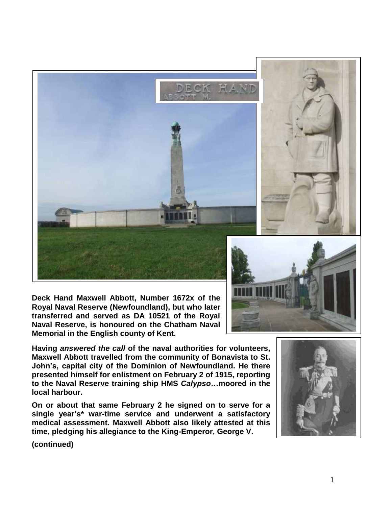

**Deck Hand Maxwell Abbott, Number 1672x of the Royal Naval Reserve (Newfoundland), but who later transferred and served as DA 10521 of the Royal Naval Reserve, is honoured on the Chatham Naval Memorial in the English county of Kent.**



**Having** *answered the call* **of the naval authorities for volunteers, Maxwell Abbott travelled from the community of Bonavista to St. John's, capital city of the Dominion of Newfoundland. He there presented himself for enlistment on February 2 of 1915, reporting to the Naval Reserve training ship HMS** *Calypso…***moored in the local harbour.**

**On or about that same February 2 he signed on to serve for a single year's\* war-time service and underwent a satisfactory medical assessment. Maxwell Abbott also likely attested at this time, pledging his allegiance to the King-Emperor, George V.**



**(continued)**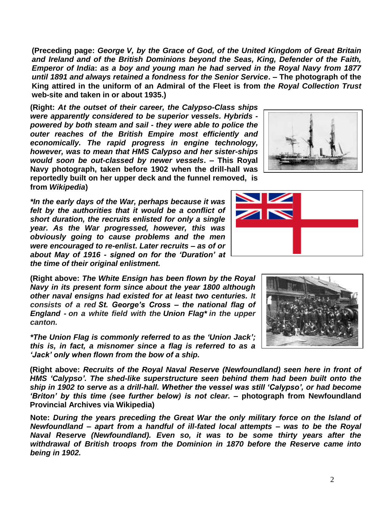**web-site and taken in or about 1935.) (Right:** *At the outset of their career, the Calypso-Class ships were apparently considered to be superior vessels. Hybrids powered by both steam and sail - they were able to police the* 

**(Preceding page:** *George V, by the Grace of God, of the United Kingdom of Great Britain and Ireland and of the British Dominions beyond the Seas, King, Defender of the Faith, Emperor of India***:** *as a boy and young man he had served in the Royal Navy from 1877 until 1891 and always retained a fondness for the Senior Service***. – The photograph of the King attired in the uniform of an Admiral of the Fleet is from** *the Royal Collection Trust*

*outer reaches of the British Empire most efficiently and economically. The rapid progress in engine technology, however, was to mean that HMS Calypso and her sister-ships would soon be out-classed by newer vessels***. – This Royal Navy photograph, taken before 1902 when the drill-hall was reportedly built on her upper deck and the funnel removed, is from** *Wikipedia***)**

*\*In the early days of the War, perhaps because it was felt by the authorities that it would be a conflict of short duration, the recruits enlisted for only a single year. As the War progressed, however, this was obviously going to cause problems and the men were encouraged to re-enlist***.** *Later recruits – as of or about May of 1916 - signed on for the 'Duration' at the time of their original enlistment.*

**(Right above:** *The White Ensign has been flown by the Royal Navy in its present form since about the year 1800 although other naval ensigns had existed for at least two centuries. It consists of a red St. George's Cross – the national flag of England - on a white field with the Union Flag\* in the upper canton.*

*\*The Union Flag is commonly referred to as the 'Union Jack'; this is, in fact, a misnomer since a flag is referred to as a 'Jack' only when flown from the bow of a ship.*

**(Right above:** *Recruits of the Royal Naval Reserve (Newfoundland) seen here in front of HMS 'Calypso'. The shed-like superstructure seen behind them had been built onto the ship in 1902 to serve as a drill-hall. Whether the vessel was still 'Calypso', or had become 'Briton' by this time (see further below) is not clear.* **– photograph from Newfoundland Provincial Archives via Wikipedia)**

**Note:** *During the years preceding the Great War the only military force on the Island of Newfoundland – apart from a handful of ill-fated local attempts – was to be the Royal Naval Reserve (Newfoundland). Even so, it was to be some thirty years after the withdrawal of British troops from the Dominion in 1870 before the Reserve came into being in 1902.* 

2





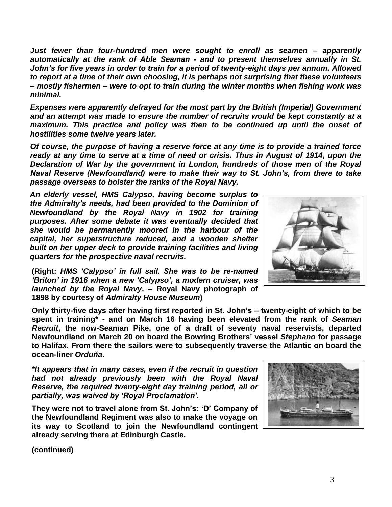*Just fewer than four-hundred men were sought to enroll as seamen – apparently automatically at the rank of Able Seaman - and to present themselves annually in St. John's for five years in order to train for a period of twenty-eight days per annum. Allowed to report at a time of their own choosing, it is perhaps not surprising that these volunteers – mostly fishermen – were to opt to train during the winter months when fishing work was minimal.*

*Expenses were apparently defrayed for the most part by the British (Imperial) Government and an attempt was made to ensure the number of recruits would be kept constantly at a maximum. This practice and policy was then to be continued up until the onset of hostilities some twelve years later.*

*Of course, the purpose of having a reserve force at any time is to provide a trained force ready at any time to serve at a time of need or crisis. Thus in August of 1914, upon the Declaration of War by the government in London, hundreds of those men of the Royal Naval Reserve (Newfoundland) were to make their way to St. John's, from there to take passage overseas to bolster the ranks of the Royal Navy.*

*An elderly vessel, HMS Calypso, having become surplus to the Admiralty's needs, had been provided to the Dominion of Newfoundland by the Royal Navy in 1902 for training purposes. After some debate it was eventually decided that she would be permanently moored in the harbour of the capital, her superstructure reduced, and a wooden shelter built on her upper deck to provide training facilities and living quarters for the prospective naval recruits.* 

**(Right:** *HMS 'Calypso' in full sail. She was to be re-named 'Briton' in 1916 when a new 'Calypso', a modern cruiser, was launched by the Royal Navy***. – Royal Navy photograph of 1898 by courtesy of** *Admiralty House Museum***)**

**Only thirty-five days after having first reported in St. John's – twenty-eight of which to be spent in training\* - and on March 16 having been elevated from the rank of** *Seaman Recruit***, the now-Seaman Pike, one of a draft of seventy naval reservists, departed Newfoundland on March 20 on board the Bowring Brothers' vessel** *Stephano* **for passage to Halifax. From there the sailors were to subsequently traverse the Atlantic on board the ocean-liner** *Orduña***.**

*\*It appears that in many cases, even if the recruit in question had not already previously been with the Royal Naval Reserve, the required twenty-eight day training period, all or partially, was waived by 'Royal Proclamation'.*

**They were not to travel alone from St. John's: 'D' Company of the Newfoundland Regiment was also to make the voyage on its way to Scotland to join the Newfoundland contingent already serving there at Edinburgh Castle.**



**(continued)**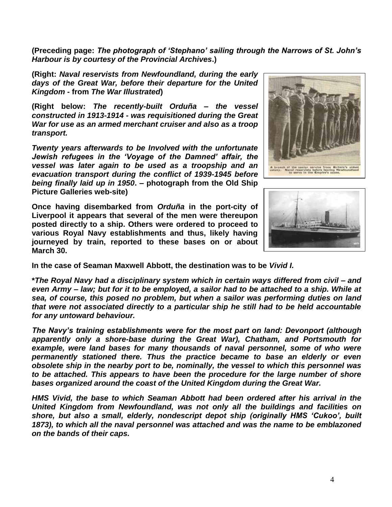**(Preceding page:** *The photograph of 'Stephano' sailing through the Narrows of St. John's Harbour is by courtesy of the Provincial Archives***.)**

**(Right:** *Naval reservists from Newfoundland, during the early days of the Great War, before their departure for the United Kingdom* **- from** *The War Illustrated***)**

**(Right below:** *The recently-built Orduña – the vessel constructed in 1913-1914 - was requisitioned during the Great War for use as an armed merchant cruiser and also as a troop transport.* 

*Twenty years afterwards to be Involved with the unfortunate Jewish refugees in the 'Voyage of the Damned' affair, the vessel was later again to be used as a troopship and an evacuation transport during the conflict of 1939-1945 before being finally laid up in 1950***. – photograph from the Old Ship Picture Galleries web-site)**

**Once having disembarked from** *Orduña* **in the port-city of Liverpool it appears that several of the men were thereupon posted directly to a ship. Others were ordered to proceed to various Royal Navy establishments and thus, likely having journeyed by train, reported to these bases on or about March 30.**





**In the case of Seaman Maxwell Abbott, the destination was to be** *Vivid I.*

**\****The Royal Navy had a disciplinary system which in certain ways differed from civil – and even Army – law; but for it to be employed, a sailor had to be attached to a ship. While at sea, of course, this posed no problem, but when a sailor was performing duties on land that were not associated directly to a particular ship he still had to be held accountable for any untoward behaviour.*

*The Navy's training establishments were for the most part on land: Devonport (although apparently only a shore-base during the Great War), Chatham, and Portsmouth for*  example, were land bases for many thousands of naval personnel, some of who were *permanently stationed there. Thus the practice became to base an elderly or even obsolete ship in the nearby port to be, nominally, the vessel to which this personnel was to be attached. This appears to have been the procedure for the large number of shore bases organized around the coast of the United Kingdom during the Great War.*

*HMS Vivid, the base to which Seaman Abbott had been ordered after his arrival in the United Kingdom from Newfoundland, was not only all the buildings and facilities on shore, but also a small, elderly, nondescript depot ship (originally HMS 'Cukoo', built 1873), to which all the naval personnel was attached and was the name to be emblazoned on the bands of their caps.*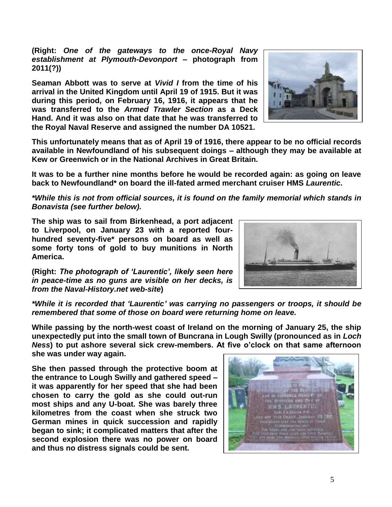**(Right:** *One of the gateways to the once-Royal Navy establishment at Plymouth-Devonport* **– photograph from 2011(?))**

**Seaman Abbott was to serve at** *Vivid I* **from the time of his arrival in the United Kingdom until April 19 of 1915. But it was during this period, on February 16, 1916, it appears that he was transferred to the** *Armed Trawler Section* **as a Deck Hand. And it was also on that date that he was transferred to the Royal Naval Reserve and assigned the number DA 10521.**

**This unfortunately means that as of April 19 of 1916, there appear to be no official records available in Newfoundland of his subsequent doings – although they may be available at Kew or Greenwich or in the National Archives in Great Britain.**

**It was to be a further nine months before he would be recorded again: as going on leave back to Newfoundland\* on board the ill-fated armed merchant cruiser HMS** *Laurentic***.**

*\*While this is not from official sources, it is found on the family memorial which stands in Bonavista (see further below).*

**The ship was to sail from Birkenhead, a port adjacent to Liverpool, on January 23 with a reported fourhundred seventy-five\* persons on board as well as some forty tons of gold to buy munitions in North America.**

**(Right:** *The photograph of 'Laurentic', likely seen here in peace-time as no guns are visible on her decks, is from the Naval-History.net web-site***)**

*\*While it is recorded that 'Laurentic' was carrying no passengers or troops, it should be remembered that some of those on board were returning home on leave.*

**While passing by the north-west coast of Ireland on the morning of January 25, the ship unexpectedly put into the small town of Buncrana in Lough Swilly (pronounced as in** *Loch Ness***) to put ashore several sick crew-members. At five o'clock on that same afternoon she was under way again.**

**She then passed through the protective boom at the entrance to Lough Swilly and gathered speed – it was apparently for her speed that she had been chosen to carry the gold as she could out-run most ships and any U-boat. She was barely three kilometres from the coast when she struck two German mines in quick succession and rapidly began to sink; it complicated matters that after the second explosion there was no power on board and thus no distress signals could be sent.**





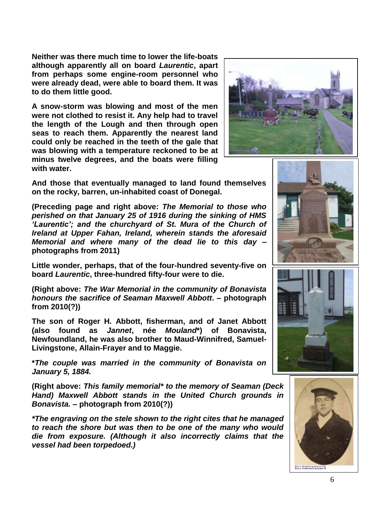**Neither was there much time to lower the life-boats although apparently all on board** *Laurentic***, apart from perhaps some engine-room personnel who were already dead, were able to board them. It was to do them little good.**

**A snow-storm was blowing and most of the men were not clothed to resist it. Any help had to travel the length of the Lough and then through open seas to reach them. Apparently the nearest land could only be reached in the teeth of the gale that was blowing with a temperature reckoned to be at minus twelve degrees, and the boats were filling with water.** 



**And those that eventually managed to land found themselves on the rocky, barren, un-inhabited coast of Donegal.** 

**(Preceding page and right above:** *The Memorial to those who perished on that January 25 of 1916 during the sinking of HMS 'Laurentic'; and the churchyard of St. Mura of the Church of Ireland at Upper Fahan, Ireland, wherein stands the aforesaid Memorial and where many of the dead lie to this day* **– photographs from 2011)** 

**Little wonder, perhaps, that of the four-hundred seventy-five on board** *Laurentic***, three-hundred fifty-four were to die.**

**(Right above:** *The War Memorial in the community of Bonavista honours the sacrifice of Seaman Maxwell Abbott***. – photograph from 2010(?))**

**The son of Roger H. Abbott, fisherman, and of Janet Abbott (also found as** *Jannet***, née** *Mouland***\*) of Bonavista, Newfoundland, he was also brother to Maud-Winnifred, Samuel-Livingstone, Allain-Frayer and to Maggie.**

**\****The couple was married in the community of Bonavista on January 5, 1884.*

**(Right above:** *This family memorial\* to the memory of Seaman (Deck Hand) Maxwell Abbott stands in the United Church grounds in Bonavista.* **– photograph from 2010(?))**

*\*The engraving on the stele shown to the right cites that he managed to reach the shore but was then to be one of the many who would die from exposure. (Although it also incorrectly claims that the vessel had been torpedoed.)*